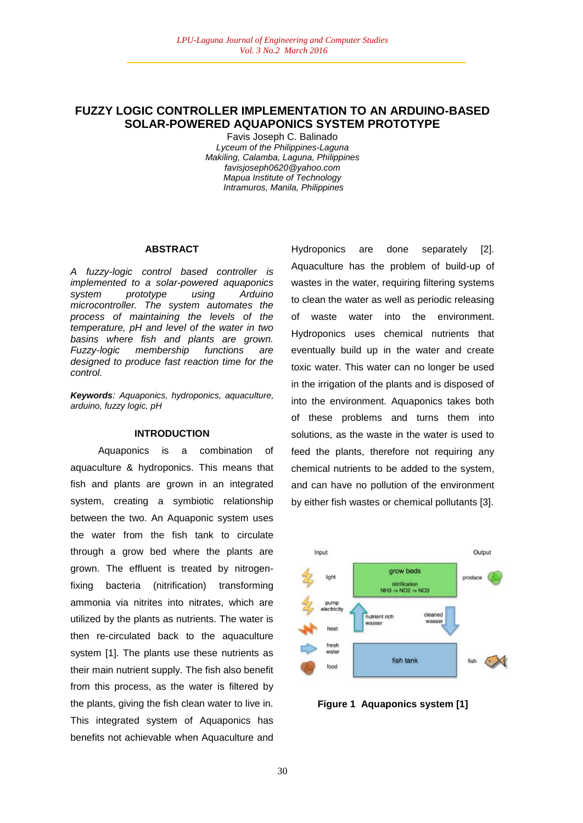# **FUZZY LOGIC CONTROLLER IMPLEMENTATION TO AN ARDUINO-BASED SOLAR-POWERED AQUAPONICS SYSTEM PROTOTYPE**

Favis Joseph C. Balinado *Lyceum of the Philippines-Laguna Makiling, Calamba, Laguna, Philippines favisjoseph0620@yahoo.com Mapua Institute of Technology Intramuros, Manila, Philippines*

#### **ABSTRACT**

*A fuzzy-logic control based controller is implemented to a solar-powered aquaponics system prototype using Arduino microcontroller. The system automates the process of maintaining the levels of the temperature, pH and level of the water in two basins where fish and plants are grown. Fuzzy-logic membership functions are designed to produce fast reaction time for the control.*

*Keywords: Aquaponics, hydroponics, aquaculture, arduino, fuzzy logic, pH*

### **INTRODUCTION**

Aquaponics is a combination of aquaculture & hydroponics. This means that fish and plants are grown in an integrated system, creating a symbiotic relationship between the two. An Aquaponic system uses the water from the fish tank to circulate through a grow bed where the plants are grown. The effluent is treated by nitrogenfixing bacteria (nitrification) transforming ammonia via nitrites into nitrates, which are utilized by the plants as nutrients. The water is then re-circulated back to the aquaculture system [1]. The plants use these nutrients as their main nutrient supply. The fish also benefit from this process, as the water is filtered by the plants, giving the fish clean water to live in. This integrated system of Aquaponics has benefits not achievable when Aquaculture and

Hydroponics are done separately [2]. Aquaculture has the problem of build-up of wastes in the water, requiring filtering systems to clean the water as well as periodic releasing of waste water into the environment. Hydroponics uses chemical nutrients that eventually build up in the water and create toxic water. This water can no longer be used in the irrigation of the plants and is disposed of into the environment. Aquaponics takes both of these problems and turns them into solutions, as the waste in the water is used to feed the plants, therefore not requiring any chemical nutrients to be added to the system, and can have no pollution of the environment by either fish wastes or chemical pollutants [3].



**Figure 1 Aquaponics system [1]**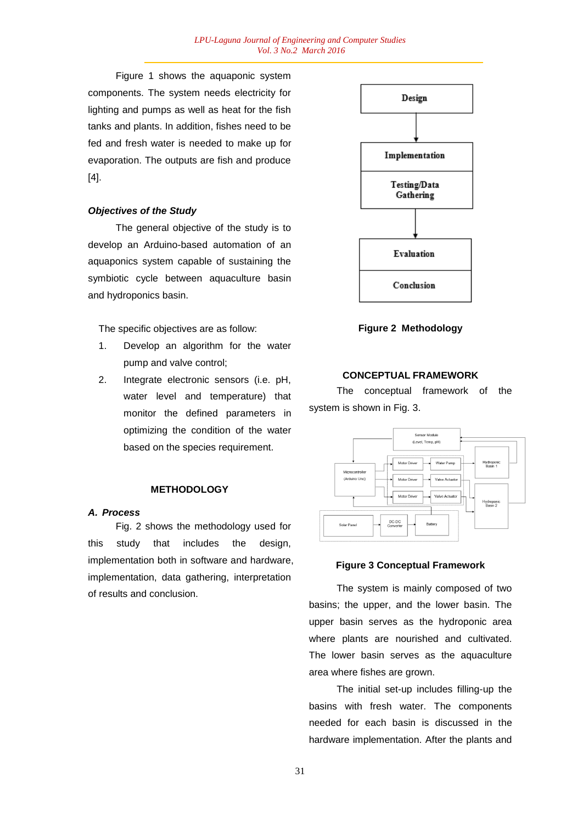Figure 1 shows the aquaponic system components. The system needs electricity for lighting and pumps as well as heat for the fish tanks and plants. In addition, fishes need to be fed and fresh water is needed to make up for evaporation. The outputs are fish and produce [4].

# *Objectives of the Study*

The general objective of the study is to develop an Arduino-based automation of an aquaponics system capable of sustaining the symbiotic cycle between aquaculture basin and hydroponics basin.

The specific objectives are as follow:

- 1. Develop an algorithm for the water pump and valve control;
- 2. Integrate electronic sensors (i.e. pH, water level and temperature) that monitor the defined parameters in optimizing the condition of the water based on the species requirement.

## **METHODOLOGY**

#### *A. Process*

Fig. 2 shows the methodology used for this study that includes the design, implementation both in software and hardware, implementation, data gathering, interpretation of results and conclusion.



**Figure 2 Methodology**

### **CONCEPTUAL FRAMEWORK**

The conceptual framework of the system is shown in Fig. 3.



### **Figure 3 Conceptual Framework**

The system is mainly composed of two basins; the upper, and the lower basin. The upper basin serves as the hydroponic area where plants are nourished and cultivated. The lower basin serves as the aquaculture area where fishes are grown.

The initial set-up includes filling-up the basins with fresh water. The components needed for each basin is discussed in the hardware implementation. After the plants and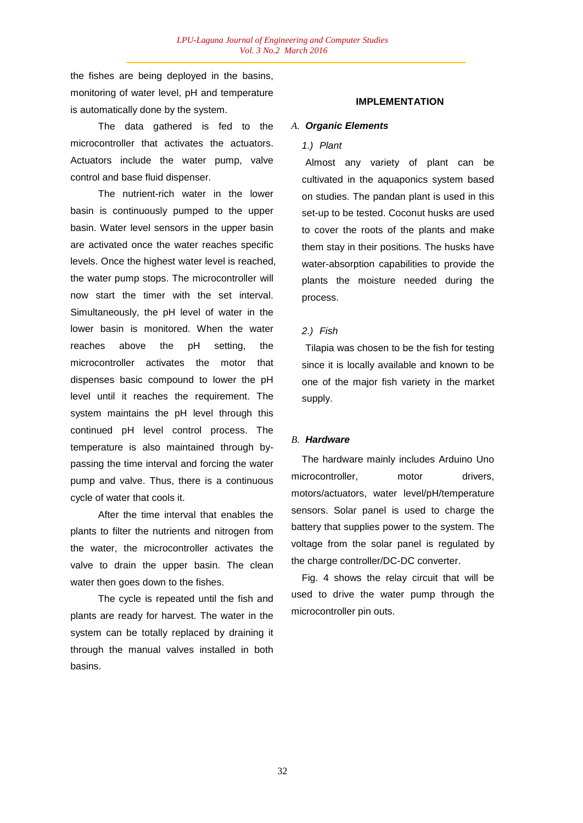the fishes are being deployed in the basins, monitoring of water level, pH and temperature is automatically done by the system.

The data gathered is fed to the microcontroller that activates the actuators. Actuators include the water pump, valve control and base fluid dispenser.

The nutrient-rich water in the lower basin is continuously pumped to the upper basin. Water level sensors in the upper basin are activated once the water reaches specific levels. Once the highest water level is reached, the water pump stops. The microcontroller will now start the timer with the set interval. Simultaneously, the pH level of water in the lower basin is monitored. When the water reaches above the pH setting, the microcontroller activates the motor that dispenses basic compound to lower the pH level until it reaches the requirement. The system maintains the pH level through this continued pH level control process. The temperature is also maintained through bypassing the time interval and forcing the water pump and valve. Thus, there is a continuous cycle of water that cools it.

After the time interval that enables the plants to filter the nutrients and nitrogen from the water, the microcontroller activates the valve to drain the upper basin. The clean water then goes down to the fishes.

The cycle is repeated until the fish and plants are ready for harvest. The water in the system can be totally replaced by draining it through the manual valves installed in both basins.

# **IMPLEMENTATION**

### *A. Organic Elements*

## *1.) Plant*

Almost any variety of plant can be cultivated in the aquaponics system based on studies. The pandan plant is used in this set-up to be tested. Coconut husks are used to cover the roots of the plants and make them stay in their positions. The husks have water-absorption capabilities to provide the plants the moisture needed during the process.

### *2.) Fish*

Tilapia was chosen to be the fish for testing since it is locally available and known to be one of the major fish variety in the market supply.

### *B. Hardware*

The hardware mainly includes Arduino Uno microcontroller, motor drivers, motors/actuators, water level/pH/temperature sensors. Solar panel is used to charge the battery that supplies power to the system. The voltage from the solar panel is regulated by the charge controller/DC-DC converter.

Fig. 4 shows the relay circuit that will be used to drive the water pump through the microcontroller pin outs.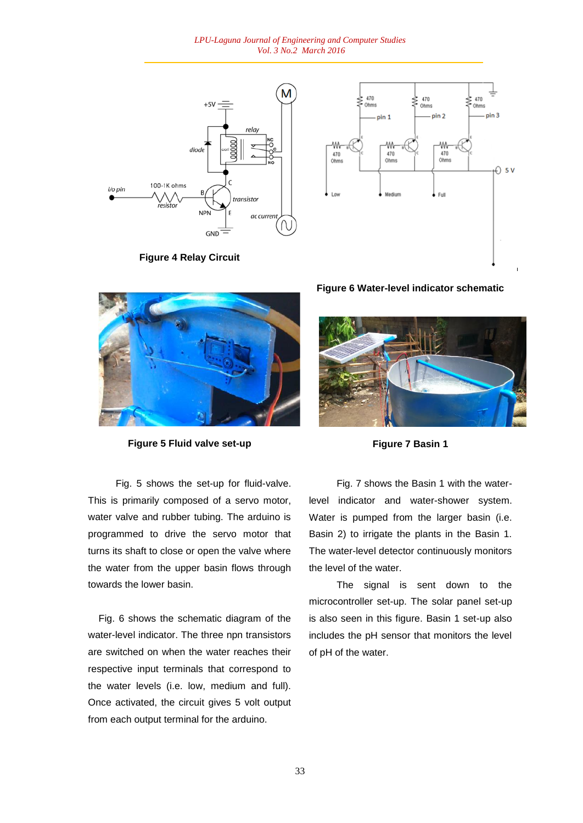*LPU-Laguna Journal of Engineering and Computer Studies Vol. 3 No.2 March 2016*



**Figure 4 Relay Circuit**





**Figure 5 Fluid valve set-up**

Fig. 5 shows the set-up for fluid-valve. This is primarily composed of a servo motor, water valve and rubber tubing. The arduino is programmed to drive the servo motor that turns its shaft to close or open the valve where the water from the upper basin flows through towards the lower basin.

Fig. 6 shows the schematic diagram of the water-level indicator. The three npn transistors are switched on when the water reaches their respective input terminals that correspond to the water levels (i.e. low, medium and full). Once activated, the circuit gives 5 volt output from each output terminal for the arduino.

**Figure 6 Water-level indicator schematic**



**Figure 7 Basin 1**

Fig. 7 shows the Basin 1 with the waterlevel indicator and water-shower system. Water is pumped from the larger basin (i.e. Basin 2) to irrigate the plants in the Basin 1. The water-level detector continuously monitors the level of the water.

The signal is sent down to the microcontroller set-up. The solar panel set-up is also seen in this figure. Basin 1 set-up also includes the pH sensor that monitors the level of pH of the water.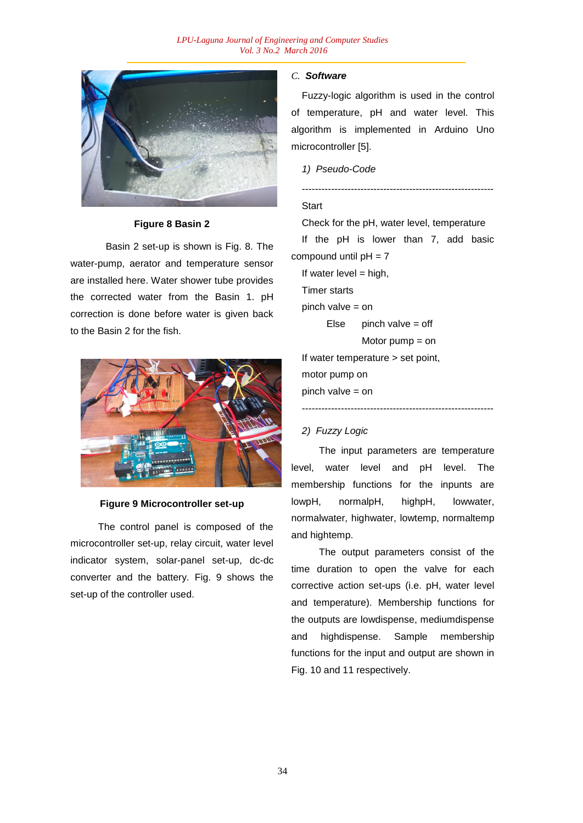

### **Figure 8 Basin 2**

Basin 2 set-up is shown is Fig. 8. The water-pump, aerator and temperature sensor are installed here. Water shower tube provides the corrected water from the Basin 1. pH correction is done before water is given back to the Basin 2 for the fish.



#### **Figure 9 Microcontroller set-up**

The control panel is composed of the microcontroller set-up, relay circuit, water level indicator system, solar-panel set-up, dc-dc converter and the battery. Fig. 9 shows the set-up of the controller used.

### *C. Software*

Fuzzy-logic algorithm is used in the control of temperature, pH and water level. This algorithm is implemented in Arduino Uno microcontroller [5].

*1) Pseudo-Code*

# **Start**

Check for the pH, water level, temperature

-----------------------------------------------------------

If the pH is lower than 7, add basic compound until  $pH = 7$ 

```
If water level = high,
```
Timer starts

pinch valve = on

```
Else pinch valve = off
```

```
Motor pump = on
```
-----------------------------------------------------------

If water temperature > set point, motor pump on pinch valve = on

# *2) Fuzzy Logic*

The input parameters are temperature level, water level and pH level. The membership functions for the inpunts are lowpH, normalpH, highpH, lowwater, normalwater, highwater, lowtemp, normaltemp and hightemp.

The output parameters consist of the time duration to open the valve for each corrective action set-ups (i.e. pH, water level and temperature). Membership functions for the outputs are lowdispense, mediumdispense and highdispense. Sample membership functions for the input and output are shown in Fig. 10 and 11 respectively.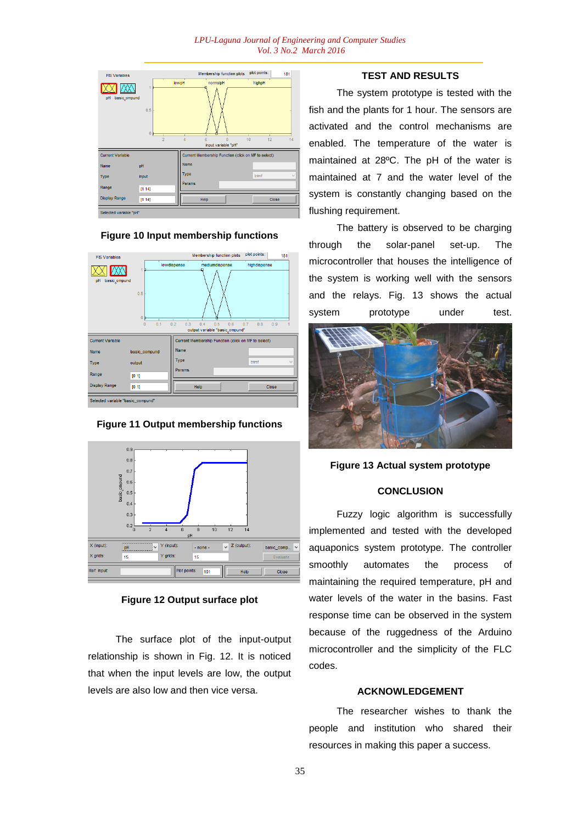

### **Figure 10 Input membership functions**



#### **Figure 11 Output membership functions**



### **Figure 12 Output surface plot**

The surface plot of the input-output relationship is shown in Fig. 12. It is noticed that when the input levels are low, the output levels are also low and then vice versa.

# **TEST AND RESULTS**

The system prototype is tested with the fish and the plants for 1 hour. The sensors are activated and the control mechanisms are enabled. The temperature of the water is maintained at 28ºC. The pH of the water is maintained at 7 and the water level of the system is constantly changing based on the flushing requirement.

The battery is observed to be charging through the solar-panel set-up. The microcontroller that houses the intelligence of the system is working well with the sensors and the relays. Fig. 13 shows the actual system prototype under test.



# **Figure 13 Actual system prototype**

# **CONCLUSION**

Fuzzy logic algorithm is successfully implemented and tested with the developed aquaponics system prototype. The controller smoothly automates the process of maintaining the required temperature, pH and water levels of the water in the basins. Fast response time can be observed in the system because of the ruggedness of the Arduino microcontroller and the simplicity of the FLC codes.

# **ACKNOWLEDGEMENT**

The researcher wishes to thank the people and institution who shared their resources in making this paper a success.